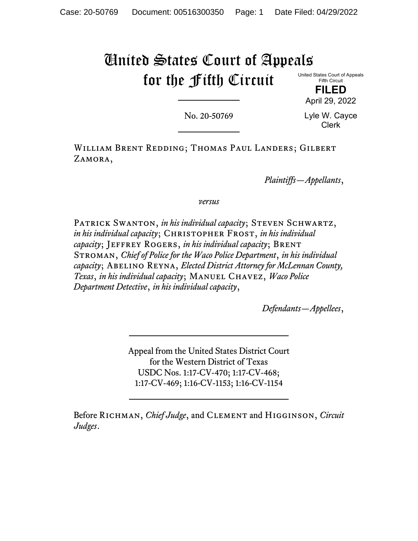# United States Court of Appeals for the Fifth Circuit

United States Court of Appeals Fifth Circuit

> **FILED** April 29, 2022

No. 20-50769

Lyle W. Cayce Clerk

William Brent Redding; Thomas Paul Landers; Gilbert ZAMORA,

*Plaintiffs—Appellants*,

*versus*

Patrick Swanton, *in his individual capacity*; Steven Schwartz, *in his individual capacity*; CHRISTOPHER FROST, *in his individual capacity*; Jeffrey Rogers, *in his individual capacity*; Brent Stroman, *Chief of Police for the Waco Police Department*, *in his individual capacity*; Abelino Reyna, *Elected District Attorney for McLennan County, Texas*, *in his individual capacity*; Manuel Chavez, *Waco Police Department Detective*, *in his individual capacity*,

*Defendants—Appellees*,

Appeal from the United States District Court for the Western District of Texas USDC Nos. 1:17-CV-470; 1:17-CV-468; 1:17-CV-469; 1:16-CV-1153; 1:16-CV-1154

Before Richman, *Chief Judge*, and Clement and Higginson, *Circuit Judges*.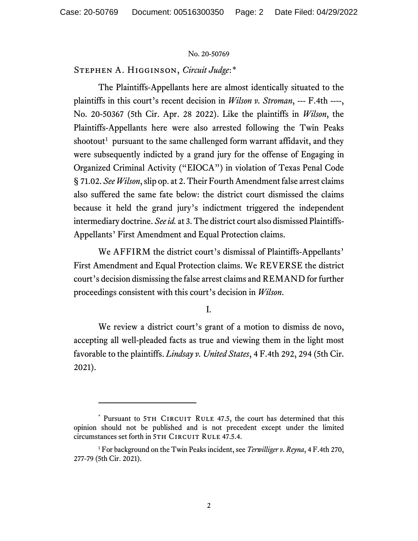Stephen A. Higginson, *Circuit Judge*:[\\*](#page-1-0)

The Plaintiffs-Appellants here are almost identically situated to the plaintiffs in this court's recent decision in *Wilson v. Stroman*, --- F.4th ----, No. 20-50367 (5th Cir. Apr. 28 2022). Like the plaintiffs in *Wilson*, the Plaintiffs-Appellants here were also arrested following the Twin Peaks shootout<sup>[1](#page-1-1)</sup> pursuant to the same challenged form warrant affidavit, and they were subsequently indicted by a grand jury for the offense of Engaging in Organized Criminal Activity ("EIOCA") in violation of Texas Penal Code § 71.02. *See Wilson*, slip op. at 2. Their Fourth Amendment false arrest claims also suffered the same fate below: the district court dismissed the claims because it held the grand jury's indictment triggered the independent intermediary doctrine. *See id.* at 3. The district court also dismissed Plaintiffs-Appellants' First Amendment and Equal Protection claims.

We AFFIRM the district court's dismissal of Plaintiffs-Appellants' First Amendment and Equal Protection claims. We REVERSE the district court's decision dismissing the false arrest claims and REMAND for further proceedings consistent with this court's decision in *Wilson*.

I.

We review a district court's grant of a motion to dismiss de novo, accepting all well-pleaded facts as true and viewing them in the light most favorable to the plaintiffs. *Lindsay v. United States*, 4 F.4th 292, 294 (5th Cir. 2021).

<span id="page-1-0"></span><sup>\*</sup> Pursuant to 5TH CIRCUIT RULE 47.5, the court has determined that this opinion should not be published and is not precedent except under the limited circumstances set forth in 5TH CIRCUIT RULE 47.5.4.

<span id="page-1-1"></span><sup>1</sup> For background on the Twin Peaks incident, see *Terwilliger v. Reyna*, 4 F.4th 270, 277-79 (5th Cir. 2021).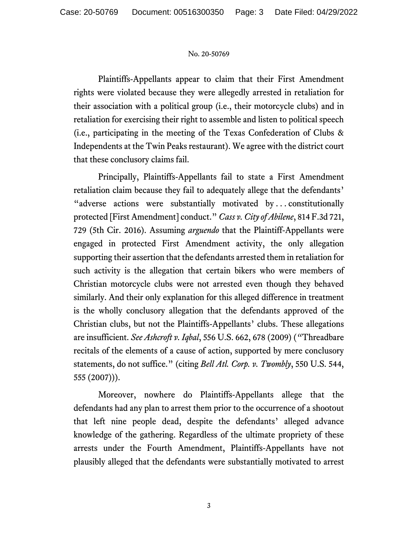Plaintiffs-Appellants appear to claim that their First Amendment rights were violated because they were allegedly arrested in retaliation for their association with a political group (i.e., their motorcycle clubs) and in retaliation for exercising their right to assemble and listen to political speech (i.e., participating in the meeting of the Texas Confederation of Clubs & Independents at the Twin Peaks restaurant). We agree with the district court that these conclusory claims fail.

Principally, Plaintiffs-Appellants fail to state a First Amendment retaliation claim because they fail to adequately allege that the defendants' "adverse actions were substantially motivated by...constitutionally protected [First Amendment] conduct." *Cass v. City of Abilene*, 814 F.3d 721, 729 (5th Cir. 2016). Assuming *arguendo* that the Plaintiff-Appellants were engaged in protected First Amendment activity, the only allegation supporting their assertion that the defendants arrested them in retaliation for such activity is the allegation that certain bikers who were members of Christian motorcycle clubs were not arrested even though they behaved similarly. And their only explanation for this alleged difference in treatment is the wholly conclusory allegation that the defendants approved of the Christian clubs, but not the Plaintiffs-Appellants' clubs. These allegations are insufficient. *See Ashcroft v. Iqbal*, 556 U.S. 662, 678 (2009) (*"*Threadbare recitals of the elements of a cause of action, supported by mere conclusory statements, do not suffice." (citing *Bell Atl. Corp. v. Twombly*, 550 U.S. 544, 555 (2007))).

Moreover, nowhere do Plaintiffs-Appellants allege that the defendants had any plan to arrest them prior to the occurrence of a shootout that left nine people dead, despite the defendants' alleged advance knowledge of the gathering. Regardless of the ultimate propriety of these arrests under the Fourth Amendment, Plaintiffs-Appellants have not plausibly alleged that the defendants were substantially motivated to arrest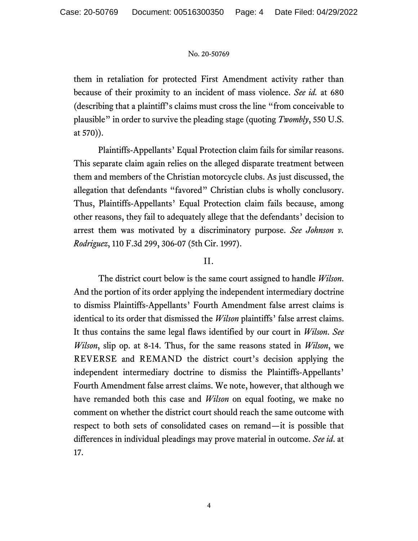them in retaliation for protected First Amendment activity rather than because of their proximity to an incident of mass violence. *See id.* at 680 (describing that a plaintiff's claims must cross the line "from conceivable to plausible" in order to survive the pleading stage (quoting *Twombly*, 550 U.S. at 570)).

Plaintiffs-Appellants' Equal Protection claim fails for similar reasons. This separate claim again relies on the alleged disparate treatment between them and members of the Christian motorcycle clubs. As just discussed, the allegation that defendants "favored" Christian clubs is wholly conclusory. Thus, Plaintiffs-Appellants' Equal Protection claim fails because, among other reasons, they fail to adequately allege that the defendants' decision to arrest them was motivated by a discriminatory purpose. *See Johnson v. Rodriguez*, 110 F.3d 299, 306-07 (5th Cir. 1997).

## II.

The district court below is the same court assigned to handle *Wilson*. And the portion of its order applying the independent intermediary doctrine to dismiss Plaintiffs-Appellants' Fourth Amendment false arrest claims is identical to its order that dismissed the *Wilson* plaintiffs' false arrest claims. It thus contains the same legal flaws identified by our court in *Wilson*. *See Wilson*, slip op. at 8-14. Thus, for the same reasons stated in *Wilson*, we REVERSE and REMAND the district court's decision applying the independent intermediary doctrine to dismiss the Plaintiffs-Appellants' Fourth Amendment false arrest claims. We note, however, that although we have remanded both this case and *Wilson* on equal footing, we make no comment on whether the district court should reach the same outcome with respect to both sets of consolidated cases on remand—it is possible that differences in individual pleadings may prove material in outcome. *See id*. at 17.